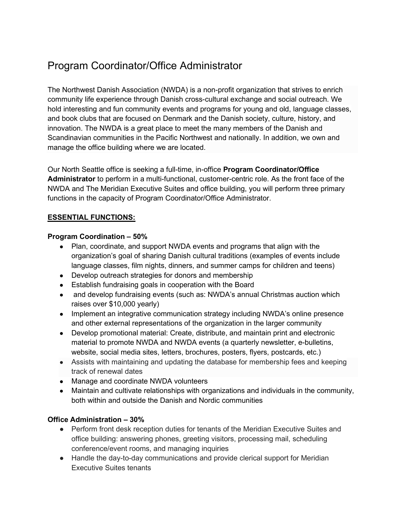# Program Coordinator/Office Administrator

The Northwest Danish Association (NWDA) is a non-profit organization that strives to enrich community life experience through Danish cross-cultural exchange and social outreach. We hold interesting and fun community events and programs for young and old, language classes, and book clubs that are focused on Denmark and the Danish society, culture, history, and innovation. The NWDA is a great place to meet the many members of the Danish and Scandinavian communities in the Pacific Northwest and nationally. In addition, we own and manage the office building where we are located.

Our North Seattle office is seeking a full-time, in-office **Program Coordinator/Office Administrator** to perform in a multi-functional, customer-centric role. As the front face of the NWDA and The Meridian Executive Suites and office building, you will perform three primary functions in the capacity of Program Coordinator/Office Administrator.

# **ESSENTIAL FUNCTIONS:**

#### **Program Coordination – 50%**

- Plan, coordinate, and support NWDA events and programs that align with the organization's goal of sharing Danish cultural traditions (examples of events include language classes, film nights, dinners, and summer camps for children and teens)
- Develop outreach strategies for donors and membership
- Establish fundraising goals in cooperation with the Board
- and develop fundraising events (such as: NWDA's annual Christmas auction which raises over \$10,000 yearly)
- Implement an integrative communication strategy including NWDA's online presence and other external representations of the organization in the larger community
- Develop promotional material: Create, distribute, and maintain print and electronic material to promote NWDA and NWDA events (a quarterly newsletter, e-bulletins, website, social media sites, letters, brochures, posters, flyers, postcards, etc.)
- Assists with maintaining and updating the database for membership fees and keeping track of renewal dates
- Manage and coordinate NWDA volunteers
- Maintain and cultivate relationships with organizations and individuals in the community, both within and outside the Danish and Nordic communities

## **Office Administration – 30%**

- Perform front desk reception duties for tenants of the Meridian Executive Suites and office building: answering phones, greeting visitors, processing mail, scheduling conference/event rooms, and managing inquiries
- Handle the day-to-day communications and provide clerical support for Meridian Executive Suites tenants